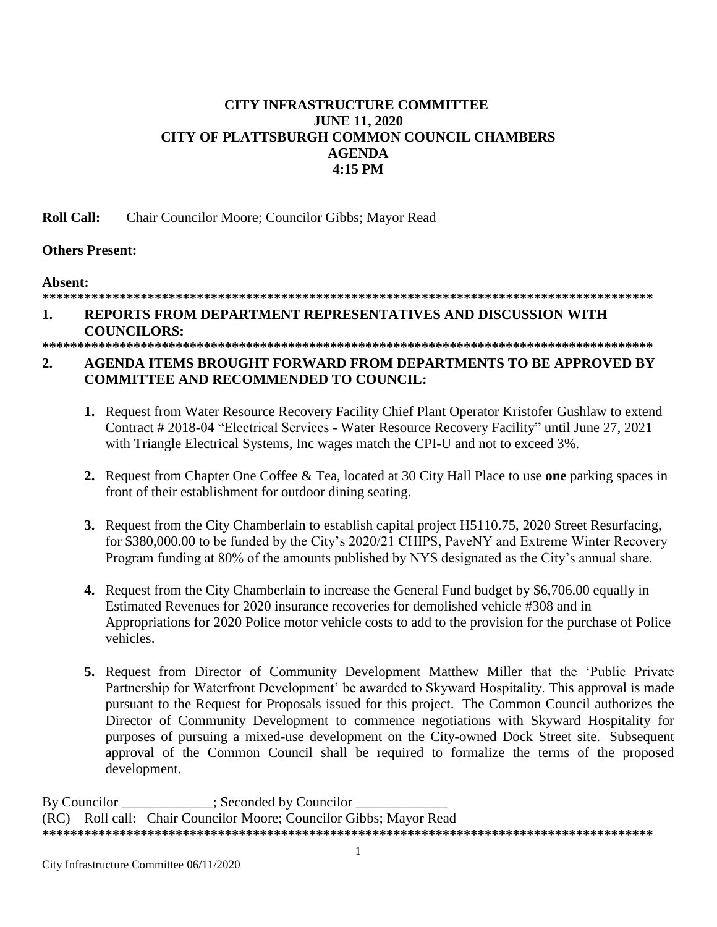# **CITY INFRASTRUCTURE COMMITTEE JUNE 11, 2020 CITY OF PLATTSBURGH COMMON COUNCIL CHAMBERS AGENDA 4:15 PM**

**Roll Call:** Chair Councilor Moore; Councilor Gibbs; Mayor Read

# **Others Present:**

**Absent:**

## **\*\*\*\*\*\*\*\*\*\*\*\*\*\*\*\*\*\*\*\*\*\*\*\*\*\*\*\*\*\*\*\*\*\*\*\*\*\*\*\*\*\*\*\*\*\*\*\*\*\*\*\*\*\*\*\*\*\*\*\*\*\*\*\*\*\*\*\*\*\*\*\*\*\*\*\*\*\*\*\*\*\*\*\*\*\*\***

# **1. REPORTS FROM DEPARTMENT REPRESENTATIVES AND DISCUSSION WITH COUNCILORS:**

# **\*\*\*\*\*\*\*\*\*\*\*\*\*\*\*\*\*\*\*\*\*\*\*\*\*\*\*\*\*\*\*\*\*\*\*\*\*\*\*\*\*\*\*\*\*\*\*\*\*\*\*\*\*\*\*\*\*\*\*\*\*\*\*\*\*\*\*\*\*\*\*\*\*\*\*\*\*\*\*\*\*\*\*\*\*\*\***

## **2. AGENDA ITEMS BROUGHT FORWARD FROM DEPARTMENTS TO BE APPROVED BY COMMITTEE AND RECOMMENDED TO COUNCIL:**

- **1.** Request from Water Resource Recovery Facility Chief Plant Operator Kristofer Gushlaw to extend Contract # 2018-04 "Electrical Services - Water Resource Recovery Facility" until June 27, 2021 with Triangle Electrical Systems, Inc wages match the CPI-U and not to exceed 3%.
- **2.** Request from Chapter One Coffee & Tea, located at 30 City Hall Place to use **one** parking spaces in front of their establishment for outdoor dining seating.
- **3.** Request from the City Chamberlain to establish capital project H5110.75, 2020 Street Resurfacing, for \$380,000.00 to be funded by the City's 2020/21 CHIPS, PaveNY and Extreme Winter Recovery Program funding at 80% of the amounts published by NYS designated as the City's annual share.
- **4.** Request from the City Chamberlain to increase the General Fund budget by \$6,706.00 equally in Estimated Revenues for 2020 insurance recoveries for demolished vehicle #308 and in Appropriations for 2020 Police motor vehicle costs to add to the provision for the purchase of Police vehicles.
- **5.** Request from Director of Community Development Matthew Miller that the 'Public Private Partnership for Waterfront Development' be awarded to Skyward Hospitality. This approval is made pursuant to the Request for Proposals issued for this project. The Common Council authorizes the Director of Community Development to commence negotiations with Skyward Hospitality for purposes of pursuing a mixed-use development on the City-owned Dock Street site. Subsequent approval of the Common Council shall be required to formalize the terms of the proposed development.

By Councilor \_\_\_\_\_\_\_\_\_\_\_\_; Seconded by Councilor \_ (RC) Roll call: Chair Councilor Moore; Councilor Gibbs; Mayor Read **\*\*\*\*\*\*\*\*\*\*\*\*\*\*\*\*\*\*\*\*\*\*\*\*\*\*\*\*\*\*\*\*\*\*\*\*\*\*\*\*\*\*\*\*\*\*\*\*\*\*\*\*\*\*\*\*\*\*\*\*\*\*\*\*\*\*\*\*\*\*\*\*\*\*\*\*\*\*\*\*\*\*\*\*\*\*\***